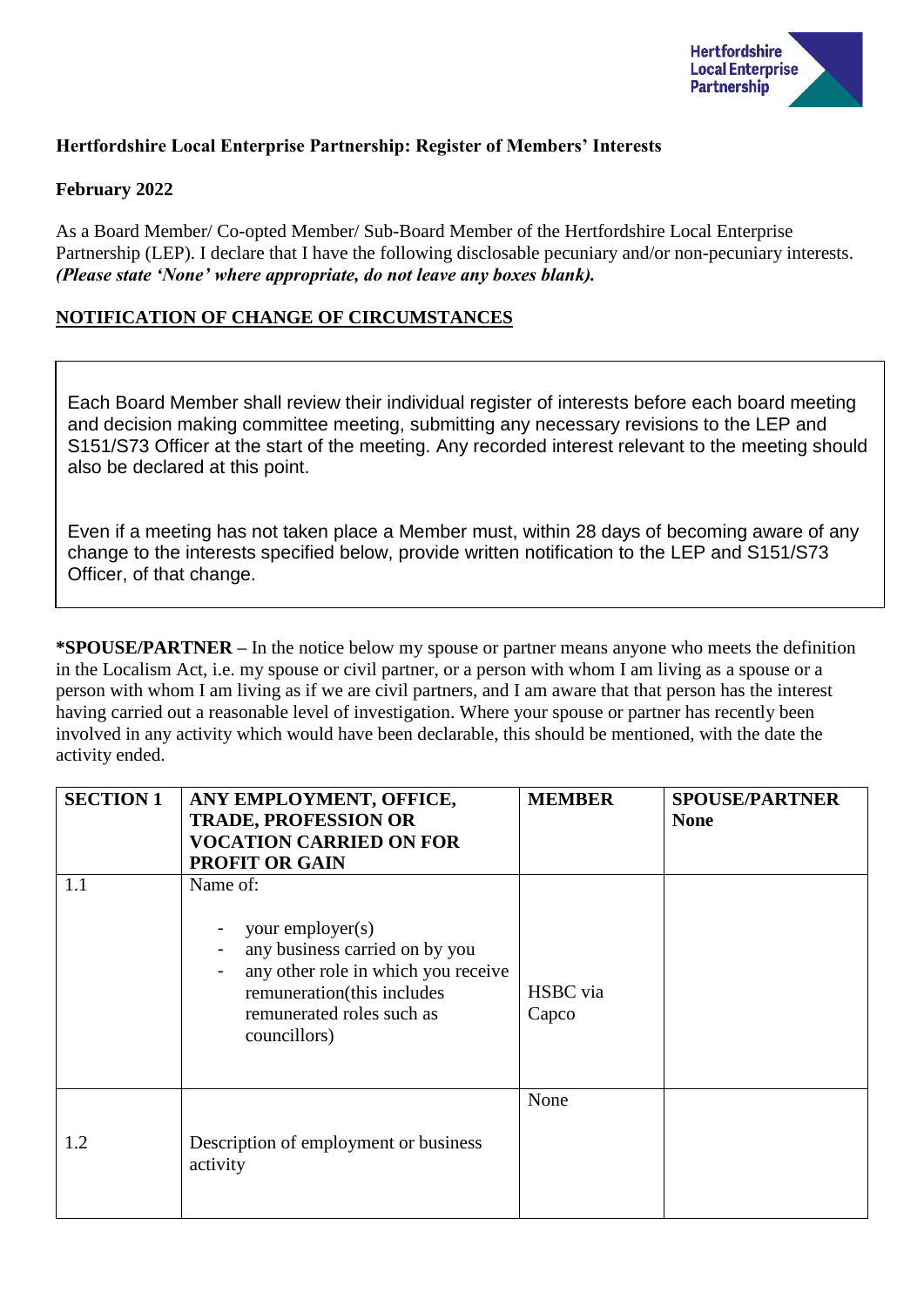

# **Hertfordshire Local Enterprise Partnership: Register of Members' Interests**

### **February 2022**

As a Board Member/ Co-opted Member/ Sub-Board Member of the Hertfordshire Local Enterprise Partnership (LEP). I declare that I have the following disclosable pecuniary and/or non-pecuniary interests. *(Please state 'None' where appropriate, do not leave any boxes blank).*

### **NOTIFICATION OF CHANGE OF CIRCUMSTANCES**

Each Board Member shall review their individual register of interests before each board meeting and decision making committee meeting, submitting any necessary revisions to the LEP and S151/S73 Officer at the start of the meeting. Any recorded interest relevant to the meeting should also be declared at this point.

Even if a meeting has not taken place a Member must, within 28 days of becoming aware of any change to the interests specified below, provide written notification to the LEP and S151/S73 Officer, of that change.

**\*SPOUSE/PARTNER –** In the notice below my spouse or partner means anyone who meets the definition in the Localism Act, i.e. my spouse or civil partner, or a person with whom I am living as a spouse or a person with whom I am living as if we are civil partners, and I am aware that that person has the interest having carried out a reasonable level of investigation. Where your spouse or partner has recently been involved in any activity which would have been declarable, this should be mentioned, with the date the activity ended.

| <b>SECTION 1</b> | ANY EMPLOYMENT, OFFICE,<br><b>TRADE, PROFESSION OR</b><br><b>VOCATION CARRIED ON FOR</b><br><b>PROFIT OR GAIN</b>                                                                | <b>MEMBER</b>     | <b>SPOUSE/PARTNER</b><br><b>None</b> |
|------------------|----------------------------------------------------------------------------------------------------------------------------------------------------------------------------------|-------------------|--------------------------------------|
| 1.1              | Name of:<br>your employer(s)<br>any business carried on by you<br>any other role in which you receive<br>remuneration(this includes<br>remunerated roles such as<br>councillors) | HSBC via<br>Capco |                                      |
| 1.2              | Description of employment or business<br>activity                                                                                                                                | None              |                                      |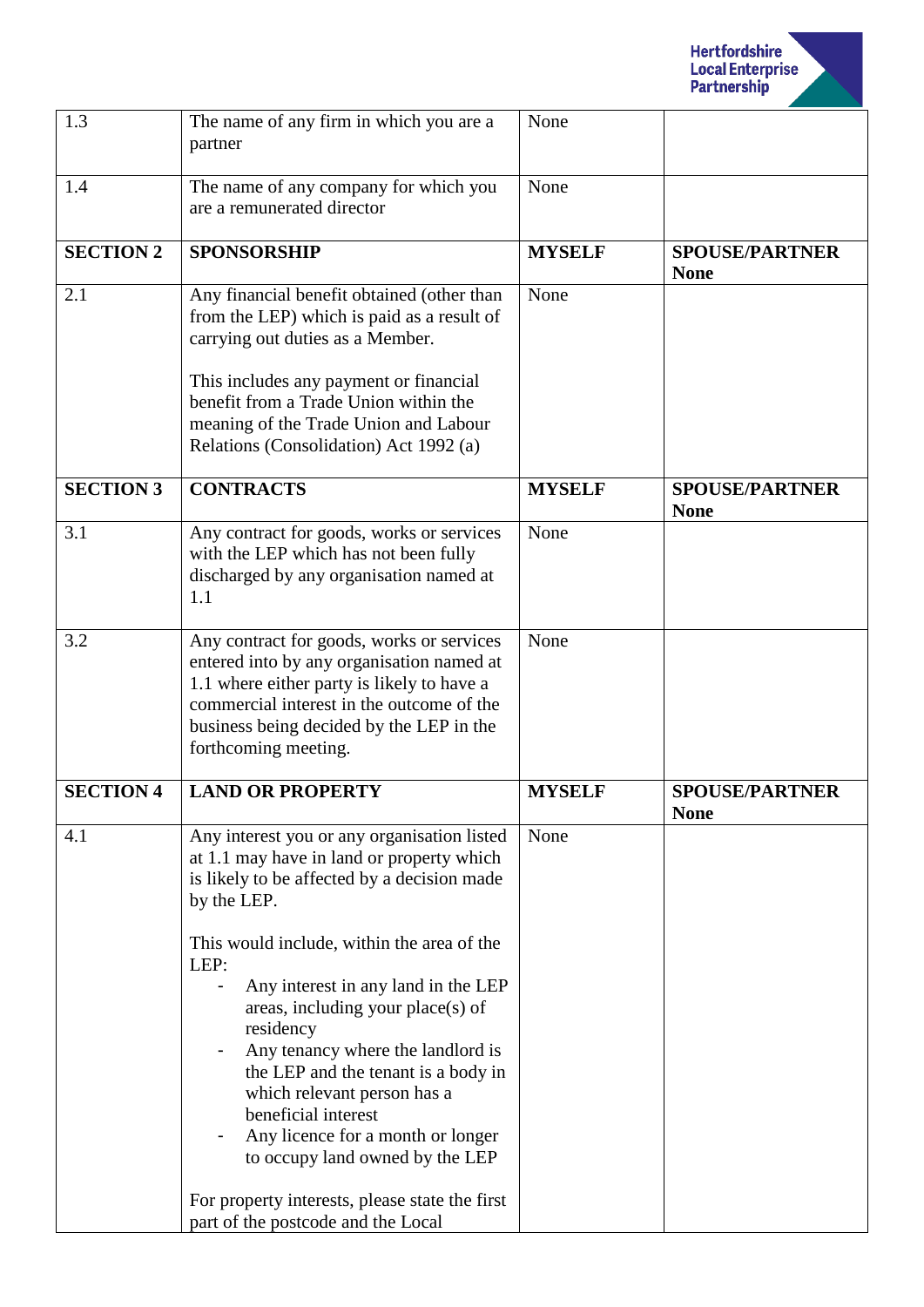

| 1.3              | The name of any firm in which you are a<br>partner                                                                                                                                                                                                                                                                                                                                                                                                                                                              | None          |                                      |
|------------------|-----------------------------------------------------------------------------------------------------------------------------------------------------------------------------------------------------------------------------------------------------------------------------------------------------------------------------------------------------------------------------------------------------------------------------------------------------------------------------------------------------------------|---------------|--------------------------------------|
| 1.4              | The name of any company for which you<br>are a remunerated director                                                                                                                                                                                                                                                                                                                                                                                                                                             | None          |                                      |
| <b>SECTION 2</b> | <b>SPONSORSHIP</b>                                                                                                                                                                                                                                                                                                                                                                                                                                                                                              | <b>MYSELF</b> | <b>SPOUSE/PARTNER</b><br><b>None</b> |
| 2.1              | Any financial benefit obtained (other than<br>from the LEP) which is paid as a result of<br>carrying out duties as a Member.                                                                                                                                                                                                                                                                                                                                                                                    | None          |                                      |
|                  | This includes any payment or financial<br>benefit from a Trade Union within the<br>meaning of the Trade Union and Labour<br>Relations (Consolidation) Act 1992 (a)                                                                                                                                                                                                                                                                                                                                              |               |                                      |
| <b>SECTION 3</b> | <b>CONTRACTS</b>                                                                                                                                                                                                                                                                                                                                                                                                                                                                                                | <b>MYSELF</b> | <b>SPOUSE/PARTNER</b><br><b>None</b> |
| 3.1              | Any contract for goods, works or services<br>with the LEP which has not been fully<br>discharged by any organisation named at<br>1.1                                                                                                                                                                                                                                                                                                                                                                            | None          |                                      |
| 3.2              | Any contract for goods, works or services<br>entered into by any organisation named at<br>1.1 where either party is likely to have a<br>commercial interest in the outcome of the<br>business being decided by the LEP in the<br>forthcoming meeting.                                                                                                                                                                                                                                                           | None          |                                      |
| <b>SECTION 4</b> | <b>LAND OR PROPERTY</b>                                                                                                                                                                                                                                                                                                                                                                                                                                                                                         | <b>MYSELF</b> | <b>SPOUSE/PARTNER</b><br><b>None</b> |
| 4.1              | Any interest you or any organisation listed<br>at 1.1 may have in land or property which<br>is likely to be affected by a decision made<br>by the LEP.<br>This would include, within the area of the<br>LEP:<br>Any interest in any land in the LEP<br>areas, including your place(s) of<br>residency<br>Any tenancy where the landlord is<br>the LEP and the tenant is a body in<br>which relevant person has a<br>beneficial interest<br>Any licence for a month or longer<br>to occupy land owned by the LEP | None          |                                      |
|                  | For property interests, please state the first<br>part of the postcode and the Local                                                                                                                                                                                                                                                                                                                                                                                                                            |               |                                      |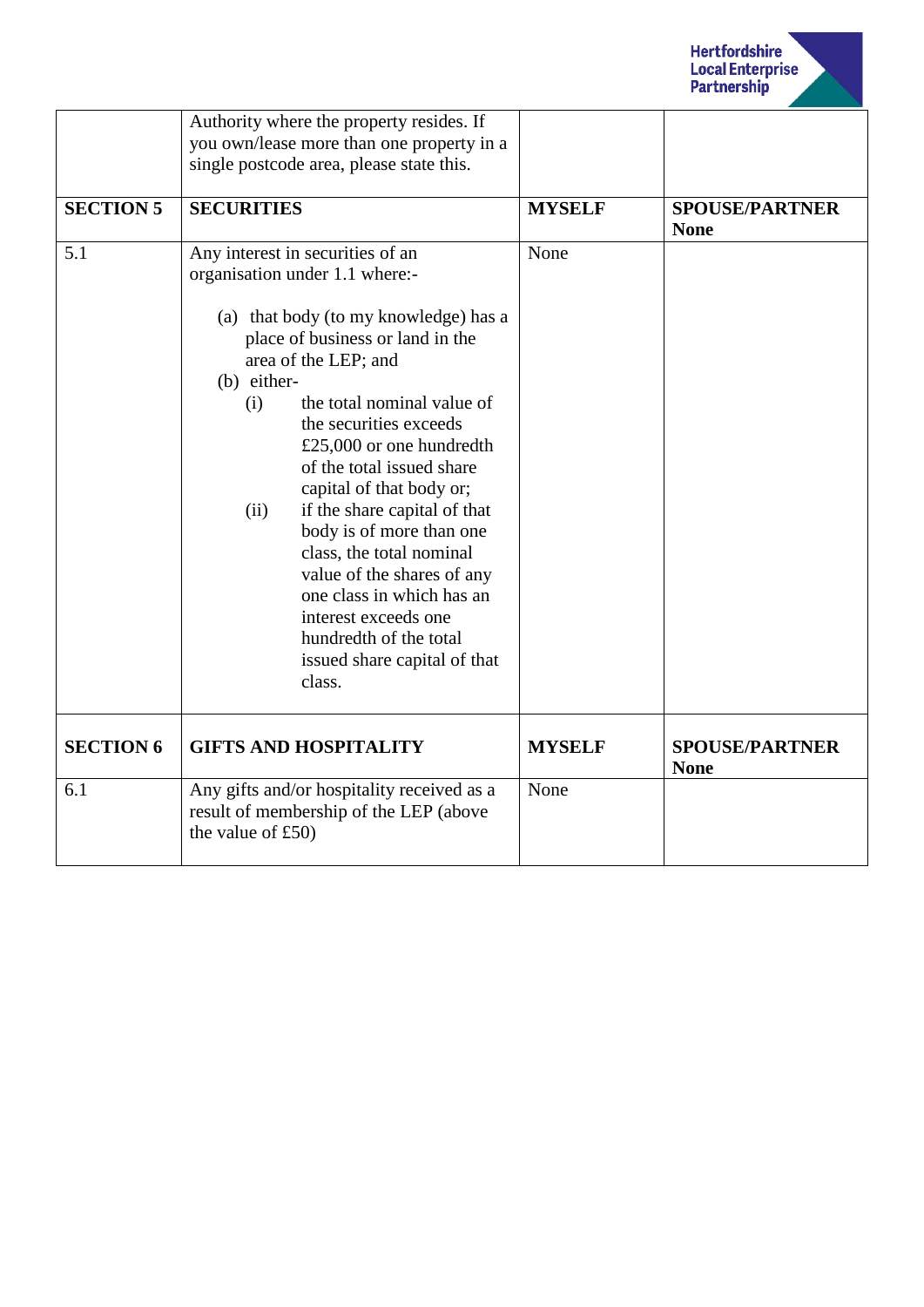

|                  | Authority where the property resides. If<br>you own/lease more than one property in a<br>single postcode area, please state this.                                                                                                                                                                                                                                                                                                                                                                                                                                                                 |               |                                      |
|------------------|---------------------------------------------------------------------------------------------------------------------------------------------------------------------------------------------------------------------------------------------------------------------------------------------------------------------------------------------------------------------------------------------------------------------------------------------------------------------------------------------------------------------------------------------------------------------------------------------------|---------------|--------------------------------------|
| <b>SECTION 5</b> | <b>SECURITIES</b>                                                                                                                                                                                                                                                                                                                                                                                                                                                                                                                                                                                 | <b>MYSELF</b> | <b>SPOUSE/PARTNER</b><br><b>None</b> |
| 5.1              | Any interest in securities of an<br>organisation under 1.1 where:-<br>(a) that body (to my knowledge) has a<br>place of business or land in the<br>area of the LEP; and<br>(b) either-<br>the total nominal value of<br>(i)<br>the securities exceeds<br>£25,000 or one hundredth<br>of the total issued share<br>capital of that body or;<br>if the share capital of that<br>(ii)<br>body is of more than one<br>class, the total nominal<br>value of the shares of any<br>one class in which has an<br>interest exceeds one<br>hundredth of the total<br>issued share capital of that<br>class. | None          |                                      |
| <b>SECTION 6</b> | <b>GIFTS AND HOSPITALITY</b>                                                                                                                                                                                                                                                                                                                                                                                                                                                                                                                                                                      | <b>MYSELF</b> | <b>SPOUSE/PARTNER</b><br><b>None</b> |
| 6.1              | Any gifts and/or hospitality received as a<br>result of membership of the LEP (above<br>the value of $£50)$                                                                                                                                                                                                                                                                                                                                                                                                                                                                                       | None          |                                      |